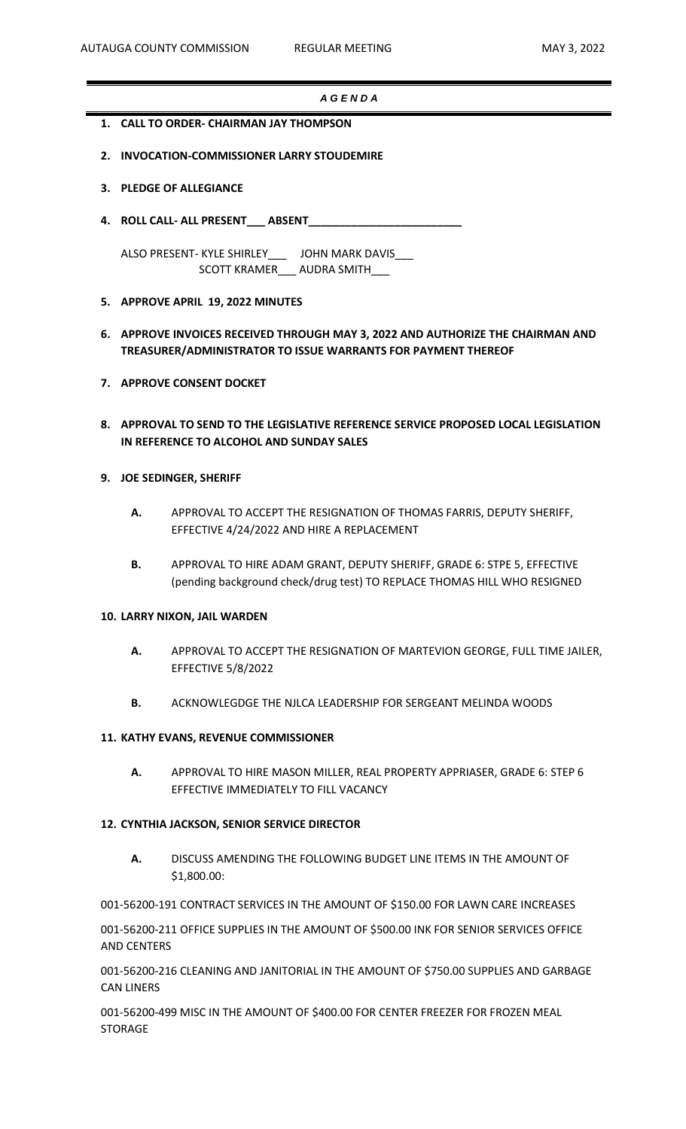#### *A G E N D A*

- **1. CALL TO ORDER- CHAIRMAN JAY THOMPSON**
- **2. INVOCATION-COMMISSIONER LARRY STOUDEMIRE**
- **3. PLEDGE OF ALLEGIANCE**
- **4. ROLL CALL- ALL PRESENT\_\_\_ ABSENT\_\_\_\_\_\_\_\_\_\_\_\_\_\_\_\_\_\_\_\_\_\_\_\_\_**

ALSO PRESENT- KYLE SHIRLEY\_\_\_ JOHN MARK DAVIS\_\_\_ SCOTT KRAMER\_\_\_\_ AUDRA SMITH\_\_\_

#### **5. APPROVE APRIL 19, 2022 MINUTES**

- **6. APPROVE INVOICES RECEIVED THROUGH MAY 3, 2022 AND AUTHORIZE THE CHAIRMAN AND TREASURER/ADMINISTRATOR TO ISSUE WARRANTS FOR PAYMENT THEREOF**
- **7. APPROVE CONSENT DOCKET**
- **8. APPROVAL TO SEND TO THE LEGISLATIVE REFERENCE SERVICE PROPOSED LOCAL LEGISLATION IN REFERENCE TO ALCOHOL AND SUNDAY SALES**

### **9. JOE SEDINGER, SHERIFF**

- **A.** APPROVAL TO ACCEPT THE RESIGNATION OF THOMAS FARRIS, DEPUTY SHERIFF, EFFECTIVE 4/24/2022 AND HIRE A REPLACEMENT
- **B.** APPROVAL TO HIRE ADAM GRANT, DEPUTY SHERIFF, GRADE 6: STPE 5, EFFECTIVE (pending background check/drug test) TO REPLACE THOMAS HILL WHO RESIGNED

#### **10. LARRY NIXON, JAIL WARDEN**

- **A.** APPROVAL TO ACCEPT THE RESIGNATION OF MARTEVION GEORGE, FULL TIME JAILER, EFFECTIVE 5/8/2022
- **B.** ACKNOWLEGDGE THE NJLCA LEADERSHIP FOR SERGEANT MELINDA WOODS

### **11. KATHY EVANS, REVENUE COMMISSIONER**

**A.** APPROVAL TO HIRE MASON MILLER, REAL PROPERTY APPRIASER, GRADE 6: STEP 6 EFFECTIVE IMMEDIATELY TO FILL VACANCY

### **12. CYNTHIA JACKSON, SENIOR SERVICE DIRECTOR**

**A.** DISCUSS AMENDING THE FOLLOWING BUDGET LINE ITEMS IN THE AMOUNT OF \$1,800.00:

001-56200-191 CONTRACT SERVICES IN THE AMOUNT OF \$150.00 FOR LAWN CARE INCREASES

001-56200-211 OFFICE SUPPLIES IN THE AMOUNT OF \$500.00 INK FOR SENIOR SERVICES OFFICE AND CENTERS

001-56200-216 CLEANING AND JANITORIAL IN THE AMOUNT OF \$750.00 SUPPLIES AND GARBAGE CAN LINERS

001-56200-499 MISC IN THE AMOUNT OF \$400.00 FOR CENTER FREEZER FOR FROZEN MEAL **STORAGE**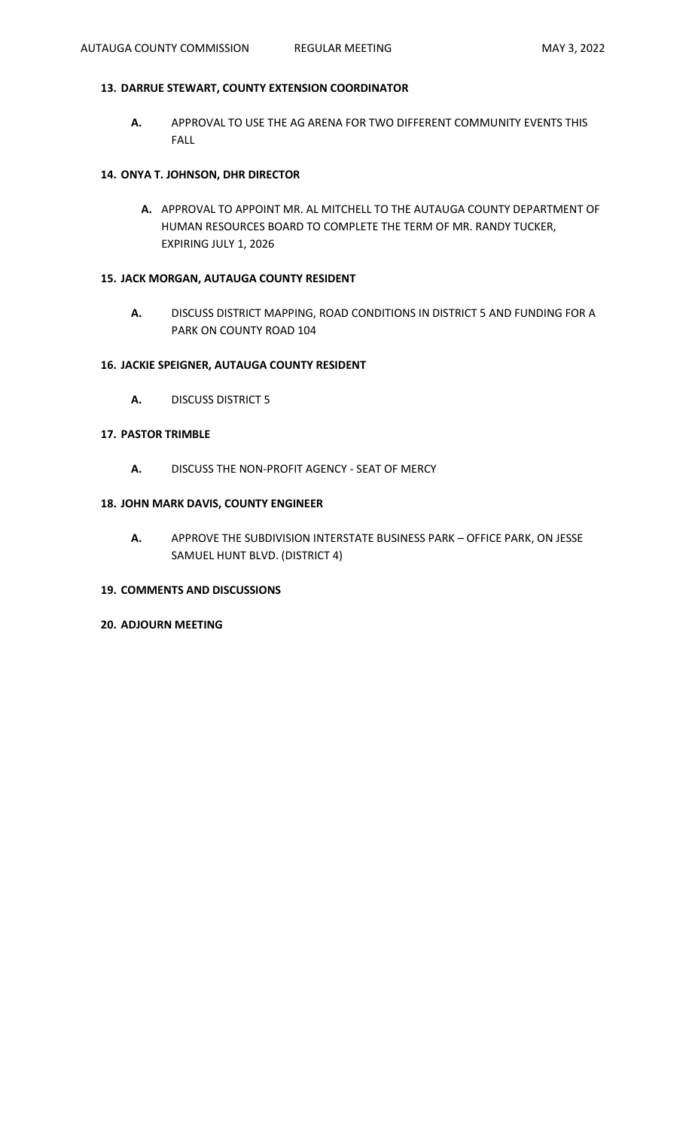# **13. DARRUE STEWART, COUNTY EXTENSION COORDINATOR**

**A.** APPROVAL TO USE THE AG ARENA FOR TWO DIFFERENT COMMUNITY EVENTS THIS FALL

# **14. ONYA T. JOHNSON, DHR DIRECTOR**

**A.** APPROVAL TO APPOINT MR. AL MITCHELL TO THE AUTAUGA COUNTY DEPARTMENT OF HUMAN RESOURCES BOARD TO COMPLETE THE TERM OF MR. RANDY TUCKER, EXPIRING JULY 1, 2026

# **15. JACK MORGAN, AUTAUGA COUNTY RESIDENT**

**A.** DISCUSS DISTRICT MAPPING, ROAD CONDITIONS IN DISTRICT 5 AND FUNDING FOR A PARK ON COUNTY ROAD 104

### **16. JACKIE SPEIGNER, AUTAUGA COUNTY RESIDENT**

**A.** DISCUSS DISTRICT 5

# **17. PASTOR TRIMBLE**

**A.** DISCUSS THE NON-PROFIT AGENCY - SEAT OF MERCY

### **18. JOHN MARK DAVIS, COUNTY ENGINEER**

**A.** APPROVE THE SUBDIVISION INTERSTATE BUSINESS PARK – OFFICE PARK, ON JESSE SAMUEL HUNT BLVD. (DISTRICT 4)

### **19. COMMENTS AND DISCUSSIONS**

**20. ADJOURN MEETING**